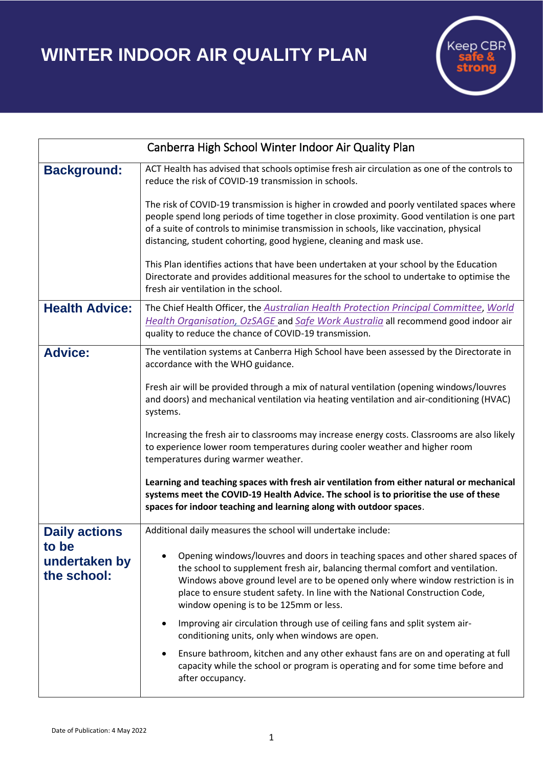## **WINTER INDOOR AIR QUALITY PLAN**



| Canberra High School Winter Indoor Air Quality Plan           |                                                                                                                                                                                                                                                                                                                                                                                |
|---------------------------------------------------------------|--------------------------------------------------------------------------------------------------------------------------------------------------------------------------------------------------------------------------------------------------------------------------------------------------------------------------------------------------------------------------------|
| <b>Background:</b>                                            | ACT Health has advised that schools optimise fresh air circulation as one of the controls to<br>reduce the risk of COVID-19 transmission in schools.                                                                                                                                                                                                                           |
|                                                               | The risk of COVID-19 transmission is higher in crowded and poorly ventilated spaces where<br>people spend long periods of time together in close proximity. Good ventilation is one part<br>of a suite of controls to minimise transmission in schools, like vaccination, physical<br>distancing, student cohorting, good hygiene, cleaning and mask use.                      |
|                                                               | This Plan identifies actions that have been undertaken at your school by the Education<br>Directorate and provides additional measures for the school to undertake to optimise the<br>fresh air ventilation in the school.                                                                                                                                                     |
| <b>Health Advice:</b>                                         | The Chief Health Officer, the Australian Health Protection Principal Committee, World<br>Health Organisation, OzSAGE and Safe Work Australia all recommend good indoor air<br>quality to reduce the chance of COVID-19 transmission.                                                                                                                                           |
| <b>Advice:</b>                                                | The ventilation systems at Canberra High School have been assessed by the Directorate in<br>accordance with the WHO guidance.<br>Fresh air will be provided through a mix of natural ventilation (opening windows/louvres<br>and doors) and mechanical ventilation via heating ventilation and air-conditioning (HVAC)<br>systems.                                             |
|                                                               | Increasing the fresh air to classrooms may increase energy costs. Classrooms are also likely<br>to experience lower room temperatures during cooler weather and higher room<br>temperatures during warmer weather.                                                                                                                                                             |
|                                                               | Learning and teaching spaces with fresh air ventilation from either natural or mechanical<br>systems meet the COVID-19 Health Advice. The school is to prioritise the use of these<br>spaces for indoor teaching and learning along with outdoor spaces.                                                                                                                       |
| <b>Daily actions</b><br>to be<br>undertaken by<br>the school: | Additional daily measures the school will undertake include:                                                                                                                                                                                                                                                                                                                   |
|                                                               | Opening windows/louvres and doors in teaching spaces and other shared spaces of<br>the school to supplement fresh air, balancing thermal comfort and ventilation.<br>Windows above ground level are to be opened only where window restriction is in<br>place to ensure student safety. In line with the National Construction Code,<br>window opening is to be 125mm or less. |
|                                                               | Improving air circulation through use of ceiling fans and split system air-<br>conditioning units, only when windows are open.                                                                                                                                                                                                                                                 |
|                                                               | Ensure bathroom, kitchen and any other exhaust fans are on and operating at full<br>$\bullet$<br>capacity while the school or program is operating and for some time before and<br>after occupancy.                                                                                                                                                                            |